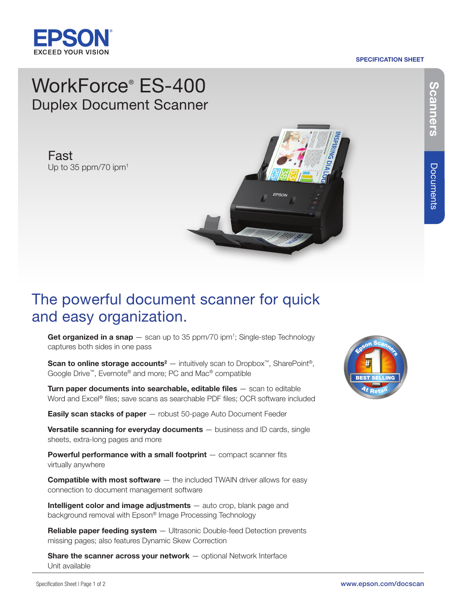

#### SPECIFICATION SHEET

# WorkForce® ES-400 Duplex Document Scanner

Fast Up to 35 ppm/70 ipm<sup>1</sup>



## The powerful document scanner for quick and easy organization.

Get organized in a snap  $-$  scan up to 35 ppm/70 ipm<sup>1</sup>; Single-step Technology captures both sides in one pass

**Scan to online storage accounts<sup>2</sup>** — intuitively scan to Dropbox<sup>™</sup>, SharePoint<sup>®</sup>, Google Drive™, Evernote® and more; PC and Mac® compatible

Turn paper documents into searchable, editable files  $-$  scan to editable Word and Excel® files; save scans as searchable PDF files; OCR software included

**Easily scan stacks of paper** - robust 50-page Auto Document Feeder

**Versatile scanning for everyday documents**  $-$  business and ID cards, single sheets, extra-long pages and more

**Powerful performance with a small footprint**  $-$  compact scanner fits virtually anywhere

**Compatible with most software**  $-$  the included TWAIN driver allows for easy connection to document management software

Intelligent color and image adjustments  $-$  auto crop, blank page and background removal with Epson® Image Processing Technology

Reliable paper feeding system - Ultrasonic Double-feed Detection prevents missing pages; also features Dynamic Skew Correction

**Share the scanner across your network**  $-$  optional Network Interface Unit available